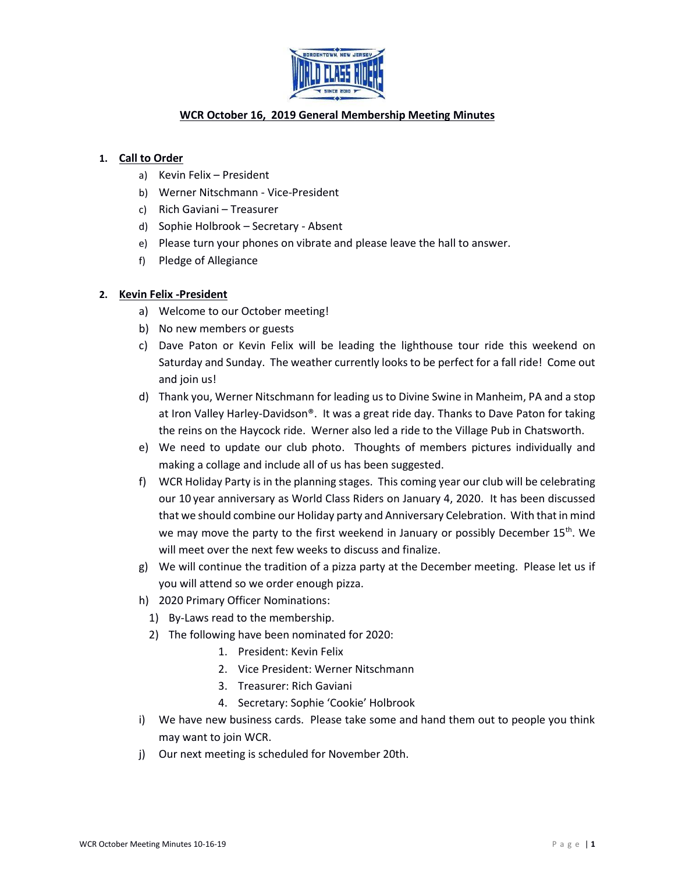

# **WCR October 16, 2019 General Membership Meeting Minutes**

### **1. Call to Order**

- a) Kevin Felix President
- b) Werner Nitschmann Vice-President
- c) Rich Gaviani Treasurer
- d) Sophie Holbrook Secretary Absent
- e) Please turn your phones on vibrate and please leave the hall to answer.
- f) Pledge of Allegiance

### **2. Kevin Felix -President**

- a) Welcome to our October meeting!
- b) No new members or guests
- c) Dave Paton or Kevin Felix will be leading the lighthouse tour ride this weekend on Saturday and Sunday. The weather currently looks to be perfect for a fall ride! Come out and join us!
- d) Thank you, Werner Nitschmann for leading us to Divine Swine in Manheim, PA and a stop at Iron Valley Harley-Davidson®. It was a great ride day. Thanks to Dave Paton for taking the reins on the Haycock ride. Werner also led a ride to the Village Pub in Chatsworth.
- e) We need to update our club photo. Thoughts of members pictures individually and making a collage and include all of us has been suggested.
- f) WCR Holiday Party is in the planning stages. This coming year our club will be celebrating our 10 year anniversary as World Class Riders on January 4, 2020. It has been discussed that we should combine our Holiday party and Anniversary Celebration. With that in mind we may move the party to the first weekend in January or possibly December 15<sup>th</sup>. We will meet over the next few weeks to discuss and finalize.
- g) We will continue the tradition of a pizza party at the December meeting. Please let us if you will attend so we order enough pizza.
- h) 2020 Primary Officer Nominations:
	- 1) By-Laws read to the membership.
	- 2) The following have been nominated for 2020:
		- 1. President: Kevin Felix
		- 2. Vice President: Werner Nitschmann
		- 3. Treasurer: Rich Gaviani
		- 4. Secretary: Sophie 'Cookie' Holbrook
- i) We have new business cards. Please take some and hand them out to people you think may want to join WCR.
- j) Our next meeting is scheduled for November 20th.